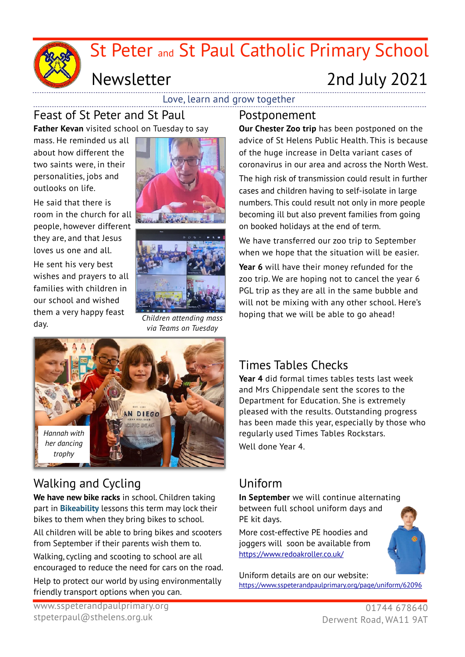

Love, learn and grow together

#### Feast of St Peter and St Paul

**Father Kevan** visited school on Tuesday to say

 personalities, jobs and mass. He reminded us all about how different the two saints were, in their outlooks on life.

He said that there is room in the church for all people, however different they are, and that Jesus loves us one and all.

He sent his very best wishes and prayers to all families with children in our school and wished them a very happy feast day.





*Children attending mass via Teams on Tuesday*



# Walking and Cycling

**We have new bike racks** in school. Children taking part in **Bikeability** lessons this term may lock their bikes to them when they bring bikes to school. All children will be able to bring bikes and scooters from September if their parents wish them to.

Walking, cycling and scooting to school are all encouraged to reduce the need for cars on the road.

Help to protect our world by using environmentally friendly transport options when you can.

**Our Chester Zoo trip** has been postponed on the advice of St Helens Public Health. This is because of the huge increase in Delta variant cases of coronavirus in our area and across the North West.

The high risk of transmission could result in further cases and children having to self-isolate in large numbers. This could result not only in more people becoming ill but also prevent families from going on booked holidays at the end of term.

We have transferred our zoo trip to September when we hope that the situation will be easier.

**Year 6** will have their money refunded for the zoo trip. We are hoping not to cancel the year 6 PGL trip as they are all in the same bubble and will not be mixing with any other school. Here's hoping that we will be able to go ahead!

## Times Tables Checks

**Year 4** did formal times tables tests last week and Mrs Chippendale sent the scores to the Department for Education. She is extremely pleased with the results. Outstanding progress has been made this year, especially by those who regularly used Times Tables Rockstars. Well done Year 4.

#### Uniform

**In September** we will continue alternating between full school uniform days and PE kit days.

More cost-effective PE hoodies and joggers will soon be available from <https://www.redoakroller.co.uk/>

Uniform details are on our website: <https://www.sspeterandpaulprimary.org/page/uniform/62096>